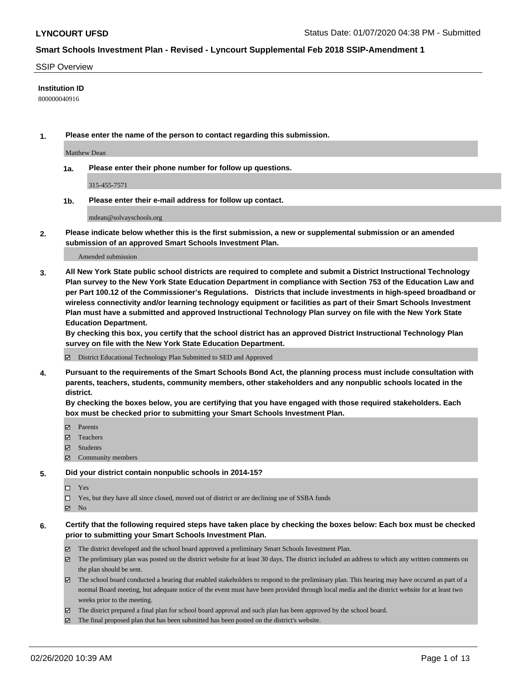#### SSIP Overview

### **Institution ID**

800000040916

**1. Please enter the name of the person to contact regarding this submission.**

Matthew Dean

**1a. Please enter their phone number for follow up questions.**

315-455-7571

**1b. Please enter their e-mail address for follow up contact.**

mdean@solvayschools.org

**2. Please indicate below whether this is the first submission, a new or supplemental submission or an amended submission of an approved Smart Schools Investment Plan.**

#### Amended submission

**3. All New York State public school districts are required to complete and submit a District Instructional Technology Plan survey to the New York State Education Department in compliance with Section 753 of the Education Law and per Part 100.12 of the Commissioner's Regulations. Districts that include investments in high-speed broadband or wireless connectivity and/or learning technology equipment or facilities as part of their Smart Schools Investment Plan must have a submitted and approved Instructional Technology Plan survey on file with the New York State Education Department.** 

**By checking this box, you certify that the school district has an approved District Instructional Technology Plan survey on file with the New York State Education Department.**

District Educational Technology Plan Submitted to SED and Approved

**4. Pursuant to the requirements of the Smart Schools Bond Act, the planning process must include consultation with parents, teachers, students, community members, other stakeholders and any nonpublic schools located in the district.** 

**By checking the boxes below, you are certifying that you have engaged with those required stakeholders. Each box must be checked prior to submitting your Smart Schools Investment Plan.**

- **マ** Parents
- Teachers
- Students
- Community members

#### **5. Did your district contain nonpublic schools in 2014-15?**

 $\neg$  Yes

Yes, but they have all since closed, moved out of district or are declining use of SSBA funds

**Z** No

### **6. Certify that the following required steps have taken place by checking the boxes below: Each box must be checked prior to submitting your Smart Schools Investment Plan.**

- The district developed and the school board approved a preliminary Smart Schools Investment Plan.
- $\boxtimes$  The preliminary plan was posted on the district website for at least 30 days. The district included an address to which any written comments on the plan should be sent.
- $\boxtimes$  The school board conducted a hearing that enabled stakeholders to respond to the preliminary plan. This hearing may have occured as part of a normal Board meeting, but adequate notice of the event must have been provided through local media and the district website for at least two weeks prior to the meeting.
- The district prepared a final plan for school board approval and such plan has been approved by the school board.
- $\boxtimes$  The final proposed plan that has been submitted has been posted on the district's website.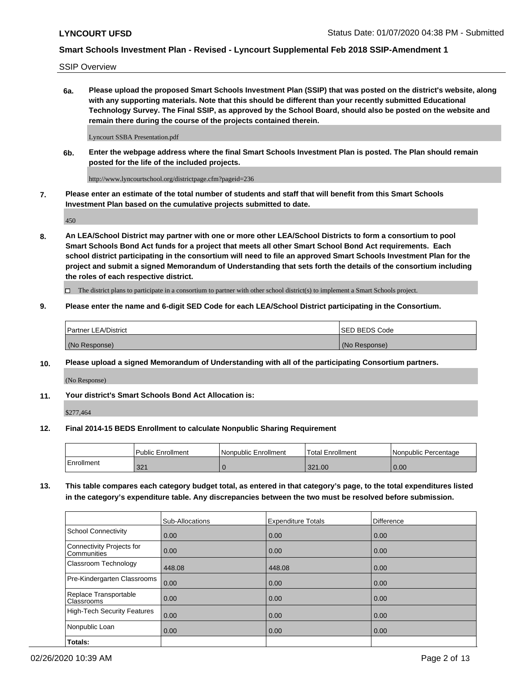SSIP Overview

**6a. Please upload the proposed Smart Schools Investment Plan (SSIP) that was posted on the district's website, along with any supporting materials. Note that this should be different than your recently submitted Educational Technology Survey. The Final SSIP, as approved by the School Board, should also be posted on the website and remain there during the course of the projects contained therein.**

Lyncourt SSBA Presentation.pdf

**6b. Enter the webpage address where the final Smart Schools Investment Plan is posted. The Plan should remain posted for the life of the included projects.**

http://www.lyncourtschool.org/districtpage.cfm?pageid=236

**7. Please enter an estimate of the total number of students and staff that will benefit from this Smart Schools Investment Plan based on the cumulative projects submitted to date.**

450

**8. An LEA/School District may partner with one or more other LEA/School Districts to form a consortium to pool Smart Schools Bond Act funds for a project that meets all other Smart School Bond Act requirements. Each school district participating in the consortium will need to file an approved Smart Schools Investment Plan for the project and submit a signed Memorandum of Understanding that sets forth the details of the consortium including the roles of each respective district.**

 $\Box$  The district plans to participate in a consortium to partner with other school district(s) to implement a Smart Schools project.

### **9. Please enter the name and 6-digit SED Code for each LEA/School District participating in the Consortium.**

| Partner LEA/District | <b>ISED BEDS Code</b> |
|----------------------|-----------------------|
| (No Response)        | (No Response)         |

### **10. Please upload a signed Memorandum of Understanding with all of the participating Consortium partners.**

(No Response)

**11. Your district's Smart Schools Bond Act Allocation is:**

\$277,464

### **12. Final 2014-15 BEDS Enrollment to calculate Nonpublic Sharing Requirement**

|            | Public Enrollment | Nonpublic Enrollment | Total Enrollment | I Nonpublic Percentage |
|------------|-------------------|----------------------|------------------|------------------------|
| Enrollment | 221<br>JZ I       |                      | 321.00           | 0.00                   |

**13. This table compares each category budget total, as entered in that category's page, to the total expenditures listed in the category's expenditure table. Any discrepancies between the two must be resolved before submission.**

|                                          | Sub-Allocations | <b>Expenditure Totals</b> | <b>Difference</b> |
|------------------------------------------|-----------------|---------------------------|-------------------|
| <b>School Connectivity</b>               | 0.00            | 0.00                      | 0.00              |
| Connectivity Projects for<br>Communities | 0.00            | 0.00                      | 0.00              |
| Classroom Technology                     | 448.08          | 448.08                    | 0.00              |
| Pre-Kindergarten Classrooms              | 0.00            | 0.00                      | 0.00              |
| Replace Transportable<br>Classrooms      | 0.00            | 0.00                      | 0.00              |
| <b>High-Tech Security Features</b>       | 0.00            | 0.00                      | 0.00              |
| Nonpublic Loan                           | 0.00            | 0.00                      | 0.00              |
| Totals:                                  |                 |                           |                   |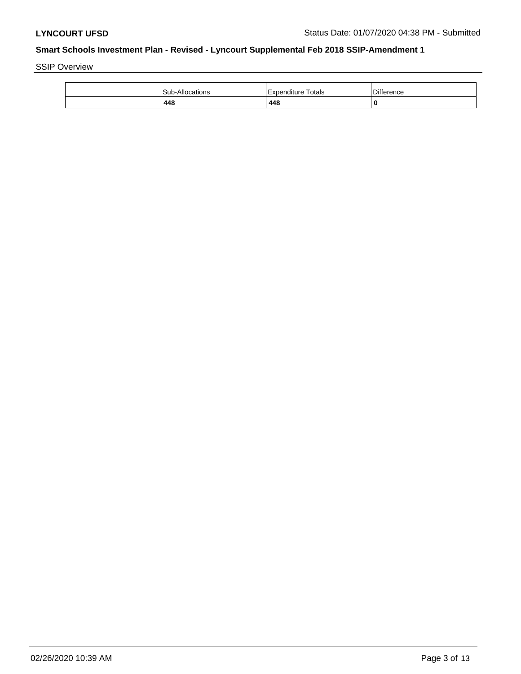SSIP Overview

| <b>Sub-Allocations</b> | Totals<br>l Expenditure | <b>Difference</b> |
|------------------------|-------------------------|-------------------|
| 448                    | 448                     | 0                 |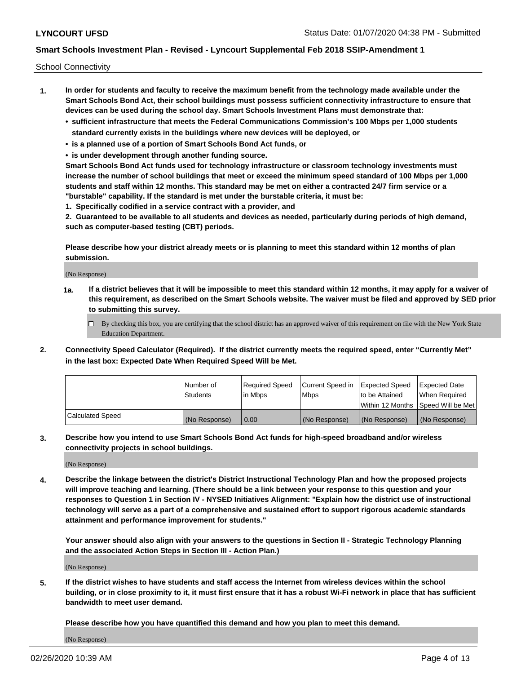School Connectivity

- **1. In order for students and faculty to receive the maximum benefit from the technology made available under the Smart Schools Bond Act, their school buildings must possess sufficient connectivity infrastructure to ensure that devices can be used during the school day. Smart Schools Investment Plans must demonstrate that:**
	- **• sufficient infrastructure that meets the Federal Communications Commission's 100 Mbps per 1,000 students standard currently exists in the buildings where new devices will be deployed, or**
	- **• is a planned use of a portion of Smart Schools Bond Act funds, or**
	- **• is under development through another funding source.**

**Smart Schools Bond Act funds used for technology infrastructure or classroom technology investments must increase the number of school buildings that meet or exceed the minimum speed standard of 100 Mbps per 1,000 students and staff within 12 months. This standard may be met on either a contracted 24/7 firm service or a "burstable" capability. If the standard is met under the burstable criteria, it must be:**

**1. Specifically codified in a service contract with a provider, and**

**2. Guaranteed to be available to all students and devices as needed, particularly during periods of high demand, such as computer-based testing (CBT) periods.**

**Please describe how your district already meets or is planning to meet this standard within 12 months of plan submission.**

(No Response)

**1a. If a district believes that it will be impossible to meet this standard within 12 months, it may apply for a waiver of this requirement, as described on the Smart Schools website. The waiver must be filed and approved by SED prior to submitting this survey.**

 $\Box$  By checking this box, you are certifying that the school district has an approved waiver of this requirement on file with the New York State Education Department.

**2. Connectivity Speed Calculator (Required). If the district currently meets the required speed, enter "Currently Met" in the last box: Expected Date When Required Speed Will be Met.**

|                  | l Number of     | Required Speed | Current Speed in | Expected Speed | Expected Date                           |
|------------------|-----------------|----------------|------------------|----------------|-----------------------------------------|
|                  | <b>Students</b> | In Mbps        | l Mbps           | to be Attained | When Required                           |
|                  |                 |                |                  |                | l Within 12 Months ISpeed Will be Met l |
| Calculated Speed | (No Response)   | 0.00           | (No Response)    | (No Response)  | (No Response)                           |

**3. Describe how you intend to use Smart Schools Bond Act funds for high-speed broadband and/or wireless connectivity projects in school buildings.**

(No Response)

**4. Describe the linkage between the district's District Instructional Technology Plan and how the proposed projects will improve teaching and learning. (There should be a link between your response to this question and your responses to Question 1 in Section IV - NYSED Initiatives Alignment: "Explain how the district use of instructional technology will serve as a part of a comprehensive and sustained effort to support rigorous academic standards attainment and performance improvement for students."** 

**Your answer should also align with your answers to the questions in Section II - Strategic Technology Planning and the associated Action Steps in Section III - Action Plan.)**

(No Response)

**5. If the district wishes to have students and staff access the Internet from wireless devices within the school building, or in close proximity to it, it must first ensure that it has a robust Wi-Fi network in place that has sufficient bandwidth to meet user demand.**

**Please describe how you have quantified this demand and how you plan to meet this demand.**

(No Response)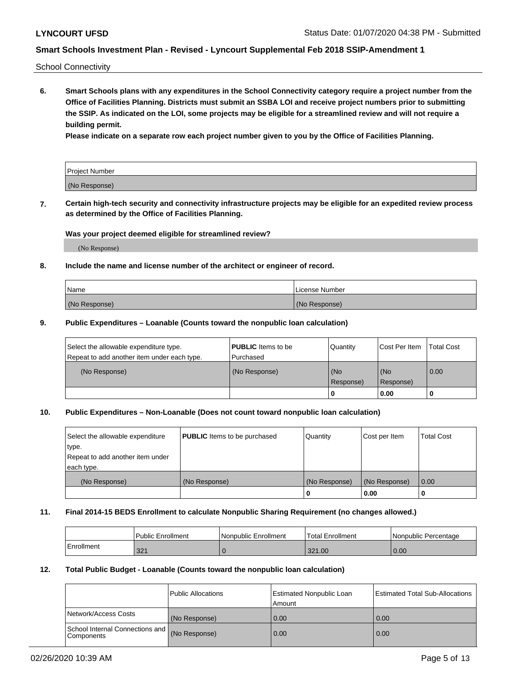School Connectivity

**6. Smart Schools plans with any expenditures in the School Connectivity category require a project number from the Office of Facilities Planning. Districts must submit an SSBA LOI and receive project numbers prior to submitting the SSIP. As indicated on the LOI, some projects may be eligible for a streamlined review and will not require a building permit.**

**Please indicate on a separate row each project number given to you by the Office of Facilities Planning.**

| Project Number |  |
|----------------|--|
| (No Response)  |  |

**7. Certain high-tech security and connectivity infrastructure projects may be eligible for an expedited review process as determined by the Office of Facilities Planning.**

### **Was your project deemed eligible for streamlined review?**

(No Response)

### **8. Include the name and license number of the architect or engineer of record.**

| Name          | License Number |
|---------------|----------------|
| (No Response) | (No Response)  |

#### **9. Public Expenditures – Loanable (Counts toward the nonpublic loan calculation)**

| Select the allowable expenditure type.<br>Repeat to add another item under each type. | <b>PUBLIC</b> Items to be<br>l Purchased | Quantity         | l Cost Per Item  | <b>Total Cost</b> |
|---------------------------------------------------------------------------------------|------------------------------------------|------------------|------------------|-------------------|
| (No Response)                                                                         | (No Response)                            | (No<br>Response) | (No<br>Response) | 0.00              |
|                                                                                       |                                          | 0                | 0.00             |                   |

### **10. Public Expenditures – Non-Loanable (Does not count toward nonpublic loan calculation)**

| Select the allowable expenditure<br>type.<br>Repeat to add another item under<br>each type. | <b>PUBLIC</b> Items to be purchased | Quantity      | Cost per Item | <b>Total Cost</b> |
|---------------------------------------------------------------------------------------------|-------------------------------------|---------------|---------------|-------------------|
| (No Response)                                                                               | (No Response)                       | (No Response) | (No Response) | 0.00              |
|                                                                                             |                                     |               | 0.00          |                   |

#### **11. Final 2014-15 BEDS Enrollment to calculate Nonpublic Sharing Requirement (no changes allowed.)**

|            | Public Enrollment | l Nonpublic Enrollment | <b>Total Enrollment</b> | Nonpublic Percentage |
|------------|-------------------|------------------------|-------------------------|----------------------|
| Enrollment | 221<br>JZ I       |                        | 321.00                  | 0.00                 |

### **12. Total Public Budget - Loanable (Counts toward the nonpublic loan calculation)**

|                                               | Public Allocations | <b>Estimated Nonpublic Loan</b><br>Amount | Estimated Total Sub-Allocations |
|-----------------------------------------------|--------------------|-------------------------------------------|---------------------------------|
| Network/Access Costs                          | (No Response)      | 0.00                                      | 0.00                            |
| School Internal Connections and<br>Components | (No Response)      | 0.00                                      | 0.00                            |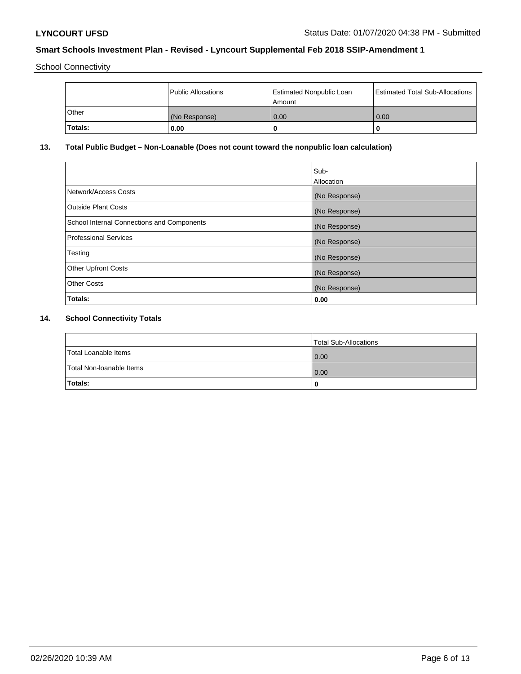School Connectivity

|         | <b>Public Allocations</b> | <b>Estimated Nonpublic Loan</b><br>l Amount i | <b>Estimated Total Sub-Allocations</b> |
|---------|---------------------------|-----------------------------------------------|----------------------------------------|
| Other   | (No Response)             | 0.00                                          | 0.00                                   |
| Totals: | 0.00                      | 0                                             | ш                                      |

# **13. Total Public Budget – Non-Loanable (Does not count toward the nonpublic loan calculation)**

|                                                   | Sub-<br>Allocation |
|---------------------------------------------------|--------------------|
| Network/Access Costs                              | (No Response)      |
| Outside Plant Costs                               | (No Response)      |
| <b>School Internal Connections and Components</b> | (No Response)      |
| Professional Services                             | (No Response)      |
| Testing                                           | (No Response)      |
| <b>Other Upfront Costs</b>                        | (No Response)      |
| <b>Other Costs</b>                                | (No Response)      |
| Totals:                                           | 0.00               |

# **14. School Connectivity Totals**

|                          | Total Sub-Allocations |
|--------------------------|-----------------------|
| Total Loanable Items     | 0.00                  |
| Total Non-Ioanable Items | 0.00                  |
| Totals:                  | 0                     |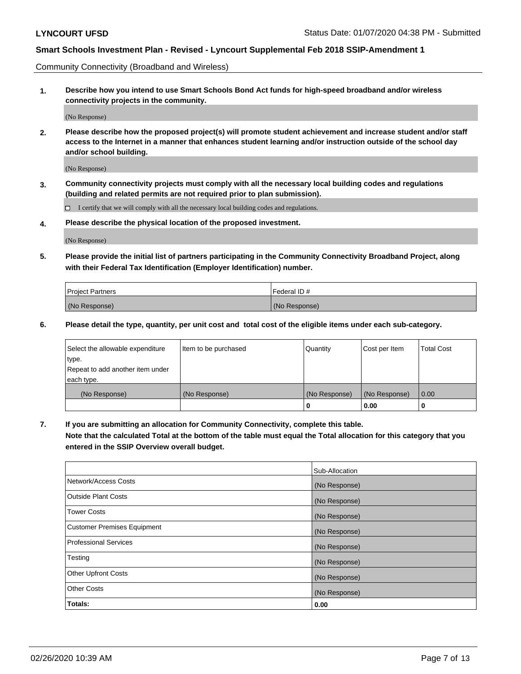Community Connectivity (Broadband and Wireless)

**1. Describe how you intend to use Smart Schools Bond Act funds for high-speed broadband and/or wireless connectivity projects in the community.**

(No Response)

**2. Please describe how the proposed project(s) will promote student achievement and increase student and/or staff access to the Internet in a manner that enhances student learning and/or instruction outside of the school day and/or school building.**

(No Response)

**3. Community connectivity projects must comply with all the necessary local building codes and regulations (building and related permits are not required prior to plan submission).**

 $\Box$  I certify that we will comply with all the necessary local building codes and regulations.

**4. Please describe the physical location of the proposed investment.**

(No Response)

**5. Please provide the initial list of partners participating in the Community Connectivity Broadband Project, along with their Federal Tax Identification (Employer Identification) number.**

| <b>Project Partners</b> | l Federal ID # |
|-------------------------|----------------|
| (No Response)           | (No Response)  |

**6. Please detail the type, quantity, per unit cost and total cost of the eligible items under each sub-category.**

| Select the allowable expenditure | Item to be purchased | Quantity      | Cost per Item | <b>Total Cost</b> |
|----------------------------------|----------------------|---------------|---------------|-------------------|
| type.                            |                      |               |               |                   |
| Repeat to add another item under |                      |               |               |                   |
| each type.                       |                      |               |               |                   |
| (No Response)                    | (No Response)        | (No Response) | (No Response) | 0.00              |
|                                  |                      | U             | 0.00          | -0                |

**7. If you are submitting an allocation for Community Connectivity, complete this table.**

**Note that the calculated Total at the bottom of the table must equal the Total allocation for this category that you entered in the SSIP Overview overall budget.**

|                                    | Sub-Allocation |
|------------------------------------|----------------|
| Network/Access Costs               | (No Response)  |
| Outside Plant Costs                | (No Response)  |
| <b>Tower Costs</b>                 | (No Response)  |
| <b>Customer Premises Equipment</b> | (No Response)  |
| <b>Professional Services</b>       | (No Response)  |
| Testing                            | (No Response)  |
| <b>Other Upfront Costs</b>         | (No Response)  |
| <b>Other Costs</b>                 | (No Response)  |
| Totals:                            | 0.00           |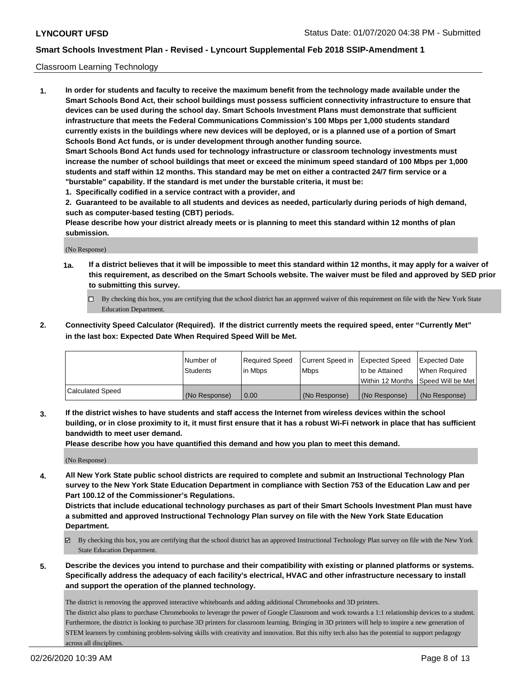### Classroom Learning Technology

**1. In order for students and faculty to receive the maximum benefit from the technology made available under the Smart Schools Bond Act, their school buildings must possess sufficient connectivity infrastructure to ensure that devices can be used during the school day. Smart Schools Investment Plans must demonstrate that sufficient infrastructure that meets the Federal Communications Commission's 100 Mbps per 1,000 students standard currently exists in the buildings where new devices will be deployed, or is a planned use of a portion of Smart Schools Bond Act funds, or is under development through another funding source. Smart Schools Bond Act funds used for technology infrastructure or classroom technology investments must increase the number of school buildings that meet or exceed the minimum speed standard of 100 Mbps per 1,000 students and staff within 12 months. This standard may be met on either a contracted 24/7 firm service or a "burstable" capability. If the standard is met under the burstable criteria, it must be:**

**1. Specifically codified in a service contract with a provider, and**

**2. Guaranteed to be available to all students and devices as needed, particularly during periods of high demand, such as computer-based testing (CBT) periods.**

**Please describe how your district already meets or is planning to meet this standard within 12 months of plan submission.**

(No Response)

- **1a. If a district believes that it will be impossible to meet this standard within 12 months, it may apply for a waiver of this requirement, as described on the Smart Schools website. The waiver must be filed and approved by SED prior to submitting this survey.**
	- By checking this box, you are certifying that the school district has an approved waiver of this requirement on file with the New York State Education Department.
- **2. Connectivity Speed Calculator (Required). If the district currently meets the required speed, enter "Currently Met" in the last box: Expected Date When Required Speed Will be Met.**

|                  | l Number of     | Required Speed | Current Speed in | <b>Expected Speed</b> | <b>Expected Date</b>                |
|------------------|-----------------|----------------|------------------|-----------------------|-------------------------------------|
|                  | <b>Students</b> | l in Mbps      | l Mbps           | to be Attained        | When Required                       |
|                  |                 |                |                  |                       | Within 12 Months  Speed Will be Met |
| Calculated Speed | (No Response)   | 0.00           | (No Response)    | l (No Response)       | (No Response)                       |

**3. If the district wishes to have students and staff access the Internet from wireless devices within the school building, or in close proximity to it, it must first ensure that it has a robust Wi-Fi network in place that has sufficient bandwidth to meet user demand.**

**Please describe how you have quantified this demand and how you plan to meet this demand.**

(No Response)

**4. All New York State public school districts are required to complete and submit an Instructional Technology Plan survey to the New York State Education Department in compliance with Section 753 of the Education Law and per Part 100.12 of the Commissioner's Regulations.**

**Districts that include educational technology purchases as part of their Smart Schools Investment Plan must have a submitted and approved Instructional Technology Plan survey on file with the New York State Education Department.**

- By checking this box, you are certifying that the school district has an approved Instructional Technology Plan survey on file with the New York State Education Department.
- **5. Describe the devices you intend to purchase and their compatibility with existing or planned platforms or systems. Specifically address the adequacy of each facility's electrical, HVAC and other infrastructure necessary to install and support the operation of the planned technology.**

The district is removing the approved interactive whiteboards and adding additional Chromebooks and 3D printers. The district also plans to purchase Chromebooks to leverage the power of Google Classroom and work towards a 1:1 relationship devices to a student. Furthermore, the district is looking to purchase 3D printers for classroom learning. Bringing in 3D printers will help to inspire a new generation of STEM learners by combining problem-solving skills with creativity and innovation. But this nifty tech also has the potential to support pedagogy across all disciplines.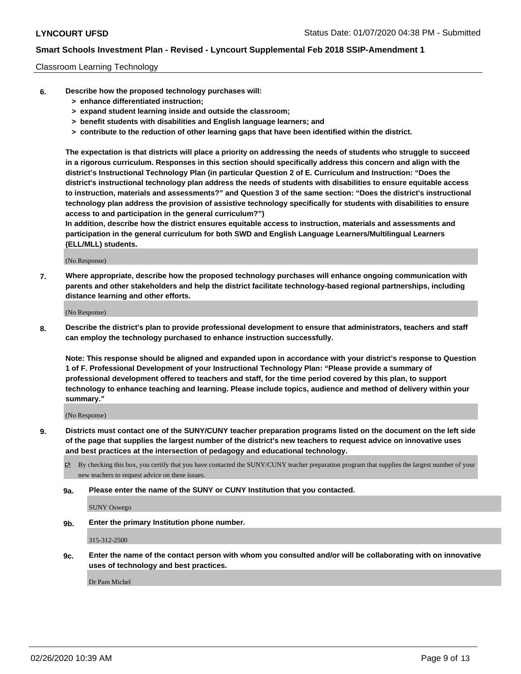#### Classroom Learning Technology

- **6. Describe how the proposed technology purchases will:**
	- **> enhance differentiated instruction;**
	- **> expand student learning inside and outside the classroom;**
	- **> benefit students with disabilities and English language learners; and**
	- **> contribute to the reduction of other learning gaps that have been identified within the district.**

**The expectation is that districts will place a priority on addressing the needs of students who struggle to succeed in a rigorous curriculum. Responses in this section should specifically address this concern and align with the district's Instructional Technology Plan (in particular Question 2 of E. Curriculum and Instruction: "Does the district's instructional technology plan address the needs of students with disabilities to ensure equitable access to instruction, materials and assessments?" and Question 3 of the same section: "Does the district's instructional technology plan address the provision of assistive technology specifically for students with disabilities to ensure access to and participation in the general curriculum?")**

**In addition, describe how the district ensures equitable access to instruction, materials and assessments and participation in the general curriculum for both SWD and English Language Learners/Multilingual Learners (ELL/MLL) students.**

(No Response)

**7. Where appropriate, describe how the proposed technology purchases will enhance ongoing communication with parents and other stakeholders and help the district facilitate technology-based regional partnerships, including distance learning and other efforts.**

(No Response)

**8. Describe the district's plan to provide professional development to ensure that administrators, teachers and staff can employ the technology purchased to enhance instruction successfully.**

**Note: This response should be aligned and expanded upon in accordance with your district's response to Question 1 of F. Professional Development of your Instructional Technology Plan: "Please provide a summary of professional development offered to teachers and staff, for the time period covered by this plan, to support technology to enhance teaching and learning. Please include topics, audience and method of delivery within your summary."**

(No Response)

- **9. Districts must contact one of the SUNY/CUNY teacher preparation programs listed on the document on the left side of the page that supplies the largest number of the district's new teachers to request advice on innovative uses and best practices at the intersection of pedagogy and educational technology.**
	- $\boxtimes$  By checking this box, you certify that you have contacted the SUNY/CUNY teacher preparation program that supplies the largest number of your new teachers to request advice on these issues.
	- **9a. Please enter the name of the SUNY or CUNY Institution that you contacted.**

SUNY Oswego

**9b. Enter the primary Institution phone number.**

315-312-2500

**9c. Enter the name of the contact person with whom you consulted and/or will be collaborating with on innovative uses of technology and best practices.**

Dr Pam Michel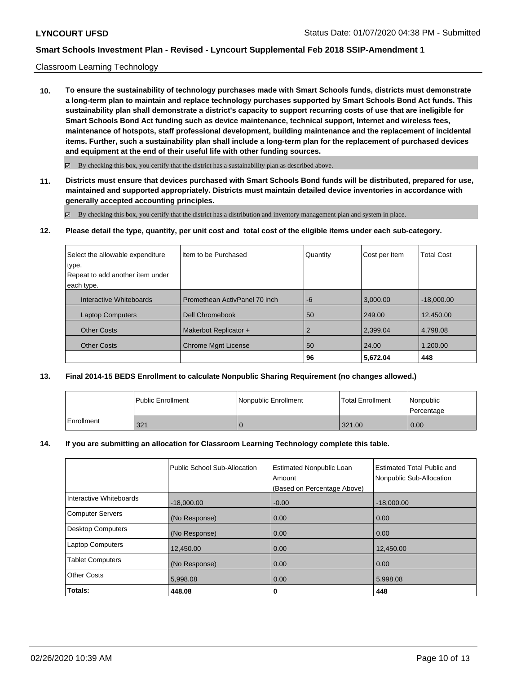### Classroom Learning Technology

**10. To ensure the sustainability of technology purchases made with Smart Schools funds, districts must demonstrate a long-term plan to maintain and replace technology purchases supported by Smart Schools Bond Act funds. This sustainability plan shall demonstrate a district's capacity to support recurring costs of use that are ineligible for Smart Schools Bond Act funding such as device maintenance, technical support, Internet and wireless fees, maintenance of hotspots, staff professional development, building maintenance and the replacement of incidental items. Further, such a sustainability plan shall include a long-term plan for the replacement of purchased devices and equipment at the end of their useful life with other funding sources.**

 $\boxtimes$  By checking this box, you certify that the district has a sustainability plan as described above.

**11. Districts must ensure that devices purchased with Smart Schools Bond funds will be distributed, prepared for use, maintained and supported appropriately. Districts must maintain detailed device inventories in accordance with generally accepted accounting principles.**

By checking this box, you certify that the district has a distribution and inventory management plan and system in place.

**12. Please detail the type, quantity, per unit cost and total cost of the eligible items under each sub-category.**

| Select the allowable expenditure | Item to be Purchased          | Quantity       | Cost per Item | <b>Total Cost</b> |
|----------------------------------|-------------------------------|----------------|---------------|-------------------|
| type.                            |                               |                |               |                   |
| Repeat to add another item under |                               |                |               |                   |
| each type.                       |                               |                |               |                   |
| Interactive Whiteboards          | Promethean ActivPanel 70 inch | $-6$           | 3,000.00      | $-18,000.00$      |
| <b>Laptop Computers</b>          | Dell Chromebook               | 50             | 249.00        | 12,450.00         |
| <b>Other Costs</b>               | Makerbot Replicator +         | $\overline{2}$ | 2,399.04      | 4.798.08          |
| <b>Other Costs</b>               | <b>Chrome Mgnt License</b>    | 50             | 24.00         | 1.200.00          |
|                                  |                               | 96             | 5,672.04      | 448               |

### **13. Final 2014-15 BEDS Enrollment to calculate Nonpublic Sharing Requirement (no changes allowed.)**

|            | l Public Enrollment | Nonpublic Enrollment | l Total Enrollment | l Nonpublic<br>l Percentage |
|------------|---------------------|----------------------|--------------------|-----------------------------|
| Enrollment | 321                 |                      | 321.00             | 0.00                        |

### **14. If you are submitting an allocation for Classroom Learning Technology complete this table.**

|                          | Public School Sub-Allocation | <b>Estimated Nonpublic Loan</b><br>Amount | Estimated Total Public and<br>Nonpublic Sub-Allocation |
|--------------------------|------------------------------|-------------------------------------------|--------------------------------------------------------|
|                          |                              | (Based on Percentage Above)               |                                                        |
| Interactive Whiteboards  | $-18.000.00$                 | $-0.00$                                   | $-18.000.00$                                           |
| <b>Computer Servers</b>  | (No Response)                | 0.00                                      | 0.00                                                   |
| <b>Desktop Computers</b> | (No Response)                | 0.00                                      | 0.00                                                   |
| <b>Laptop Computers</b>  | 12,450.00                    | 0.00                                      | 12.450.00                                              |
| <b>Tablet Computers</b>  | (No Response)                | 0.00                                      | 0.00                                                   |
| <b>Other Costs</b>       | 5,998.08                     | 0.00                                      | 5,998.08                                               |
| Totals:                  | 448.08                       | 0                                         | 448                                                    |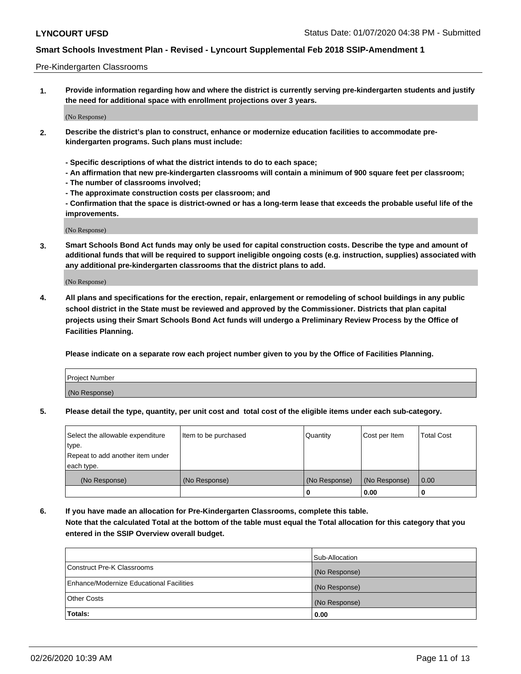#### Pre-Kindergarten Classrooms

**1. Provide information regarding how and where the district is currently serving pre-kindergarten students and justify the need for additional space with enrollment projections over 3 years.**

(No Response)

- **2. Describe the district's plan to construct, enhance or modernize education facilities to accommodate prekindergarten programs. Such plans must include:**
	- **Specific descriptions of what the district intends to do to each space;**
	- **An affirmation that new pre-kindergarten classrooms will contain a minimum of 900 square feet per classroom;**
	- **The number of classrooms involved;**
	- **The approximate construction costs per classroom; and**
	- **Confirmation that the space is district-owned or has a long-term lease that exceeds the probable useful life of the improvements.**

(No Response)

**3. Smart Schools Bond Act funds may only be used for capital construction costs. Describe the type and amount of additional funds that will be required to support ineligible ongoing costs (e.g. instruction, supplies) associated with any additional pre-kindergarten classrooms that the district plans to add.**

(No Response)

**4. All plans and specifications for the erection, repair, enlargement or remodeling of school buildings in any public school district in the State must be reviewed and approved by the Commissioner. Districts that plan capital projects using their Smart Schools Bond Act funds will undergo a Preliminary Review Process by the Office of Facilities Planning.**

**Please indicate on a separate row each project number given to you by the Office of Facilities Planning.**

| Project Number |  |
|----------------|--|
| (No Response)  |  |
|                |  |

**5. Please detail the type, quantity, per unit cost and total cost of the eligible items under each sub-category.**

| Select the allowable expenditure | Item to be purchased | Quantity      | Cost per Item | <b>Total Cost</b> |
|----------------------------------|----------------------|---------------|---------------|-------------------|
| type.                            |                      |               |               |                   |
| Repeat to add another item under |                      |               |               |                   |
| each type.                       |                      |               |               |                   |
| (No Response)                    | (No Response)        | (No Response) | (No Response) | 0.00              |
|                                  |                      | U             | 0.00          |                   |

**6. If you have made an allocation for Pre-Kindergarten Classrooms, complete this table. Note that the calculated Total at the bottom of the table must equal the Total allocation for this category that you entered in the SSIP Overview overall budget.**

| Totals:                                  | 0.00           |
|------------------------------------------|----------------|
| <b>Other Costs</b>                       | (No Response)  |
| Enhance/Modernize Educational Facilities | (No Response)  |
| Construct Pre-K Classrooms               | (No Response)  |
|                                          | Sub-Allocation |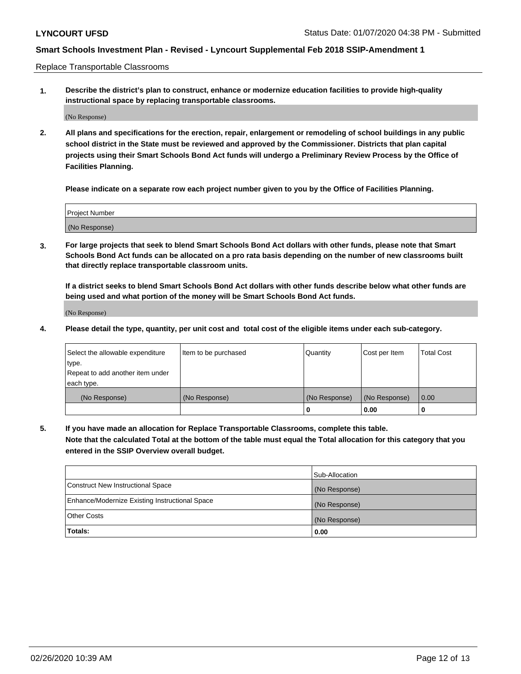Replace Transportable Classrooms

**1. Describe the district's plan to construct, enhance or modernize education facilities to provide high-quality instructional space by replacing transportable classrooms.**

(No Response)

**2. All plans and specifications for the erection, repair, enlargement or remodeling of school buildings in any public school district in the State must be reviewed and approved by the Commissioner. Districts that plan capital projects using their Smart Schools Bond Act funds will undergo a Preliminary Review Process by the Office of Facilities Planning.**

**Please indicate on a separate row each project number given to you by the Office of Facilities Planning.**

| Project Number |  |
|----------------|--|
|                |  |
|                |  |
|                |  |
| (No Response)  |  |
|                |  |
|                |  |

**3. For large projects that seek to blend Smart Schools Bond Act dollars with other funds, please note that Smart Schools Bond Act funds can be allocated on a pro rata basis depending on the number of new classrooms built that directly replace transportable classroom units.**

**If a district seeks to blend Smart Schools Bond Act dollars with other funds describe below what other funds are being used and what portion of the money will be Smart Schools Bond Act funds.**

(No Response)

**4. Please detail the type, quantity, per unit cost and total cost of the eligible items under each sub-category.**

| Select the allowable expenditure | Item to be purchased | Quantity      | Cost per Item | Total Cost |
|----------------------------------|----------------------|---------------|---------------|------------|
| ∣type.                           |                      |               |               |            |
| Repeat to add another item under |                      |               |               |            |
| each type.                       |                      |               |               |            |
| (No Response)                    | (No Response)        | (No Response) | (No Response) | 0.00       |
|                                  |                      | u             | 0.00          |            |

**5. If you have made an allocation for Replace Transportable Classrooms, complete this table. Note that the calculated Total at the bottom of the table must equal the Total allocation for this category that you entered in the SSIP Overview overall budget.**

|                                                | Sub-Allocation |
|------------------------------------------------|----------------|
| Construct New Instructional Space              | (No Response)  |
| Enhance/Modernize Existing Instructional Space | (No Response)  |
| Other Costs                                    | (No Response)  |
| Totals:                                        | 0.00           |